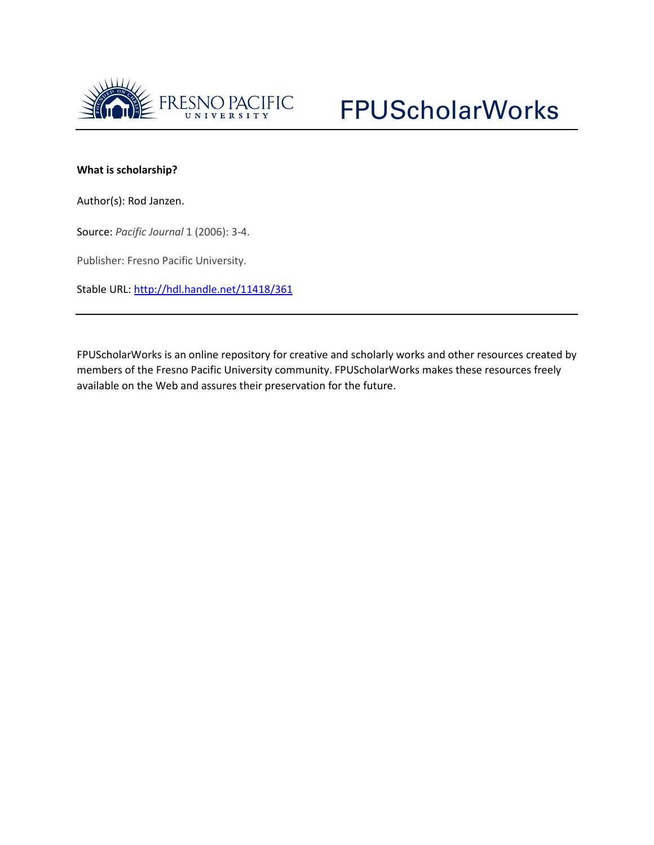

## **What is scholarship?**

Author(s): Rod Janzen.

Source: *Pacific Journal* 1 (2006): 3-4.

Publisher: Fresno Pacific University.

Stable URL:<http://hdl.handle.net/11418/361>

FPUScholarWorks is an online repository for creative and scholarly works and other resources created by members of the Fresno Pacific University community. FPUScholarWorks makes these resources freely available on the Web and assures their preservation for the future.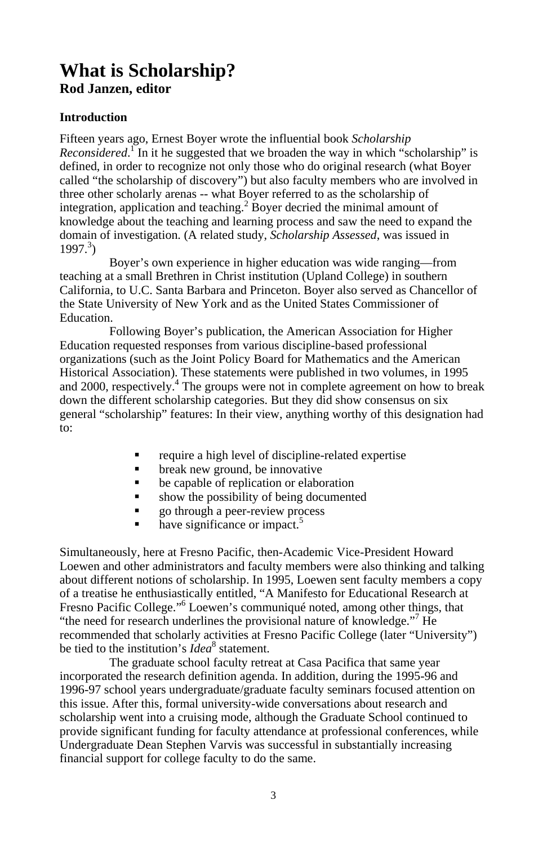## **What is Scholarship? Rod Janzen, editor**

## **Introduction**

Fifteen years ago, Ernest Boyer wrote the influential book *Scholarship Reconsidered*.<sup>I</sup> In it he suggested that we broaden the way in which "scholarship" is defined, in order to recognize not only those who do original research (what Boyer called "the scholarship of discovery") but also faculty members who are involved in three other scholarly arenas -- what Boyer referred to as the scholarship of integration, application and teaching.<sup>2</sup> Boyer decried the minimal amount of knowledge about the teaching and learning process and saw the need to expand the domain of investigation. (A related study, *Scholarship Assessed*, was issued in  $1997.<sup>3</sup>$ 

Boyer's own experience in higher education was wide ranging—from teaching at a small Brethren in Christ institution (Upland College) in southern California, to U.C. Santa Barbara and Princeton. Boyer also served as Chancellor of the State University of New York and as the United States Commissioner of Education.

Following Boyer's publication, the American Association for Higher Education requested responses from various discipline-based professional organizations (such as the Joint Policy Board for Mathematics and the American Historical Association). These statements were published in two volumes, in 1995 and 2000, respectively.<sup>4</sup> The groups were not in complete agreement on how to break down the different scholarship categories. But they did show consensus on six general "scholarship" features: In their view, anything worthy of this designation had to:

- require a high level of discipline-related expertise
- **•** break new ground, be innovative
- be capable of replication or elaboration
- show the possibility of being documented
- go through a peer-review process
- $\blacksquare$  have significance or impact.<sup>5</sup>

Simultaneously, here at Fresno Pacific, then-Academic Vice-President Howard Loewen and other administrators and faculty members were also thinking and talking about different notions of scholarship. In 1995, Loewen sent faculty members a copy of a treatise he enthusiastically entitled, "A Manifesto for Educational Research at Fresno Pacific College."<sup>6</sup> Loewen's communiqué noted, among other things, that "the need for research underlines the provisional nature of knowledge."<sup>7</sup> He recommended that scholarly activities at Fresno Pacific College (later "University") be tied to the institution's *Idea*<sup>8</sup> statement.

The graduate school faculty retreat at Casa Pacifica that same year incorporated the research definition agenda. In addition, during the 1995-96 and 1996-97 school years undergraduate/graduate faculty seminars focused attention on this issue. After this, formal university-wide conversations about research and scholarship went into a cruising mode, although the Graduate School continued to provide significant funding for faculty attendance at professional conferences, while Undergraduate Dean Stephen Varvis was successful in substantially increasing financial support for college faculty to do the same.